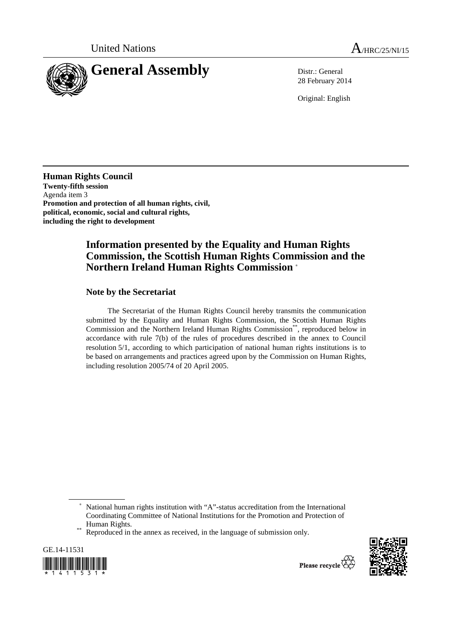

28 February 2014

Original: English

**Human Rights Council Twenty-fifth session**  Agenda item 3 **Promotion and protection of all human rights, civil, political, economic, social and cultural rights, including the right to development** 

## **Information presented by the Equality and Human Rights Commission, the Scottish Human Rights Commission and the Northern Ireland Human Rights Commission** <sup>∗</sup>

## **Note by the Secretariat**

 The Secretariat of the Human Rights Council hereby transmits the communication submitted by the Equality and Human Rights Commission, the Scottish Human Rights Commission and the Northern Ireland Human Rights Commission\*\*, reproduced below in accordance with rule 7(b) of the rules of procedures described in the annex to Council resolution 5/1, according to which participation of national human rights institutions is to be based on arrangements and practices agreed upon by the Commission on Human Rights, including resolution 2005/74 of 20 April 2005.

<sup>&</sup>lt;sup>\*\*</sup> Reproduced in the annex as received, in the language of submission only.





<sup>∗</sup> National human rights institution with "A"-status accreditation from the International Coordinating Committee of National Institutions for the Promotion and Protection of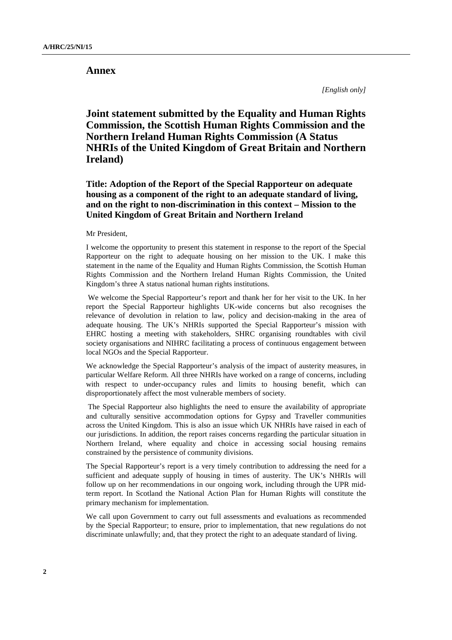**Annex** 

*[English only]* 

 **Joint statement submitted by the Equality and Human Rights Commission, the Scottish Human Rights Commission and the Northern Ireland Human Rights Commission (A Status NHRIs of the United Kingdom of Great Britain and Northern Ireland)** 

 **Title: Adoption of the Report of the Special Rapporteur on adequate housing as a component of the right to an adequate standard of living, and on the right to non-discrimination in this context – Mission to the United Kingdom of Great Britain and Northern Ireland** 

Mr President,

I welcome the opportunity to present this statement in response to the report of the Special Rapporteur on the right to adequate housing on her mission to the UK. I make this statement in the name of the Equality and Human Rights Commission, the Scottish Human Rights Commission and the Northern Ireland Human Rights Commission, the United Kingdom's three A status national human rights institutions.

 We welcome the Special Rapporteur's report and thank her for her visit to the UK. In her report the Special Rapporteur highlights UK-wide concerns but also recognises the relevance of devolution in relation to law, policy and decision-making in the area of adequate housing. The UK's NHRIs supported the Special Rapporteur's mission with EHRC hosting a meeting with stakeholders, SHRC organising roundtables with civil society organisations and NIHRC facilitating a process of continuous engagement between local NGOs and the Special Rapporteur.

We acknowledge the Special Rapporteur's analysis of the impact of austerity measures, in particular Welfare Reform. All three NHRIs have worked on a range of concerns, including with respect to under-occupancy rules and limits to housing benefit, which can disproportionately affect the most vulnerable members of society.

 The Special Rapporteur also highlights the need to ensure the availability of appropriate and culturally sensitive accommodation options for Gypsy and Traveller communities across the United Kingdom. This is also an issue which UK NHRIs have raised in each of our jurisdictions. In addition, the report raises concerns regarding the particular situation in Northern Ireland, where equality and choice in accessing social housing remains constrained by the persistence of community divisions.

The Special Rapporteur's report is a very timely contribution to addressing the need for a sufficient and adequate supply of housing in times of austerity. The UK's NHRIs will follow up on her recommendations in our ongoing work, including through the UPR midterm report. In Scotland the National Action Plan for Human Rights will constitute the primary mechanism for implementation.

We call upon Government to carry out full assessments and evaluations as recommended by the Special Rapporteur; to ensure, prior to implementation, that new regulations do not discriminate unlawfully; and, that they protect the right to an adequate standard of living.